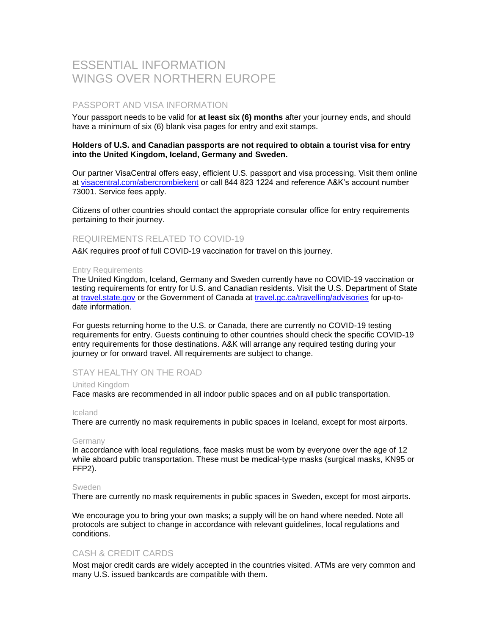# ESSENTIAL INFORMATION WINGS OVER NORTHERN EUROPE

# PASSPORT AND VISA INFORMATION

Your passport needs to be valid for **at least six (6) months** after your journey ends, and should have a minimum of six (6) blank visa pages for entry and exit stamps.

### **Holders of U.S. and Canadian passports are not required to obtain a tourist visa for entry into the United Kingdom, Iceland, Germany and Sweden.**

Our partner VisaCentral offers easy, efficient U.S. passport and visa processing. Visit them online at [visacentral.com/abercrombiekent](http://www.visacentral.com/abercrombiekent) or call 844 823 1224 and reference A&K's account number 73001. Service fees apply.

Citizens of other countries should contact the appropriate consular office for entry requirements pertaining to their journey.

# REQUIREMENTS RELATED TO COVID-19

A&K requires proof of full COVID-19 vaccination for travel on this journey.

#### Entry Requirements

The United Kingdom, Iceland, Germany and Sweden currently have no COVID-19 vaccination or testing requirements for entry for U.S. and Canadian residents. Visit the U.S. Department of State at [travel.state.gov](https://travel.state.gov/content/travel/en/international-travel.html) or the Government of Canada at [travel.gc.ca/travelling/advisories](https://travel.gc.ca/travelling/advisories) for up-todate information.

For guests returning home to the U.S. or Canada, there are currently no COVID-19 testing requirements for entry. Guests continuing to other countries should check the specific COVID-19 entry requirements for those destinations. A&K will arrange any required testing during your journey or for onward travel. All requirements are subject to change.

# STAY HEALTHY ON THE ROAD

### United Kingdom

Face masks are recommended in all indoor public spaces and on all public transportation.

#### Iceland

There are currently no mask requirements in public spaces in Iceland, except for most airports.

#### Germany

In accordance with local regulations, face masks must be worn by everyone over the age of 12 while aboard public transportation. These must be medical-type masks (surgical masks, KN95 or FFP2).

#### Sweden

There are currently no mask requirements in public spaces in Sweden, except for most airports.

We encourage you to bring your own masks; a supply will be on hand where needed. Note all protocols are subject to change in accordance with relevant guidelines, local regulations and conditions.

### CASH & CREDIT CARDS

Most major credit cards are widely accepted in the countries visited. ATMs are very common and many U.S. issued bankcards are compatible with them.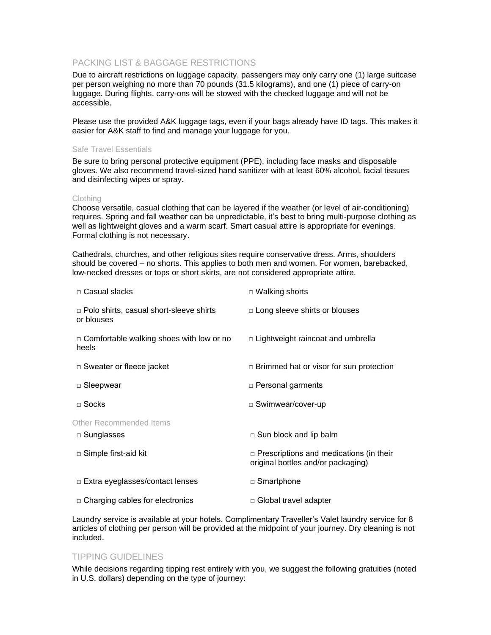# PACKING LIST & BAGGAGE RESTRICTIONS

Due to aircraft restrictions on luggage capacity, passengers may only carry one (1) large suitcase per person weighing no more than 70 pounds (31.5 kilograms), and one (1) piece of carry-on luggage. During flights, carry-ons will be stowed with the checked luggage and will not be accessible.

Please use the provided A&K luggage tags, even if your bags already have ID tags. This makes it easier for A&K staff to find and manage your luggage for you.

### Safe Travel Essentials

Be sure to bring personal protective equipment (PPE), including face masks and disposable gloves. We also recommend travel-sized hand sanitizer with at least 60% alcohol, facial tissues and disinfecting wipes or spray.

### Clothing

Choose versatile, casual clothing that can be layered if the weather (or level of air-conditioning) requires. Spring and fall weather can be unpredictable, it's best to bring multi-purpose clothing as well as lightweight gloves and a warm scarf. Smart casual attire is appropriate for evenings. Formal clothing is not necessary.

Cathedrals, churches, and other religious sites require conservative dress. Arms, shoulders should be covered – no shorts. This applies to both men and women. For women, barebacked, low-necked dresses or tops or short skirts, are not considered appropriate attire.

| □ Casual slacks                                         | □ Walking shorts                                                                     |  |
|---------------------------------------------------------|--------------------------------------------------------------------------------------|--|
| □ Polo shirts, casual short-sleeve shirts<br>or blouses | $\Box$ Long sleeve shirts or blouses                                                 |  |
| □ Comfortable walking shoes with low or no<br>heels     | $\Box$ Lightweight raincoat and umbrella                                             |  |
| $\Box$ Sweater or fleece jacket                         | $\Box$ Brimmed hat or visor for sun protection                                       |  |
| $\Box$ Sleepwear                                        | □ Personal garments                                                                  |  |
| $\sqcap$ Socks                                          | □ Swimwear/cover-up                                                                  |  |
| Other Recommended Items                                 |                                                                                      |  |
| □ Sunglasses                                            | $\Box$ Sun block and lip balm                                                        |  |
| □ Simple first-aid kit                                  | $\Box$ Prescriptions and medications (in their<br>original bottles and/or packaging) |  |
| $\Box$ Extra eyeglasses/contact lenses                  | □ Smartphone                                                                         |  |
| $\Box$ Charging cables for electronics                  | □ Global travel adapter                                                              |  |

Laundry service is available at your hotels. Complimentary Traveller's Valet laundry service for 8 articles of clothing per person will be provided at the midpoint of your journey. Dry cleaning is not included.

# TIPPING GUIDELINES

While decisions regarding tipping rest entirely with you, we suggest the following gratuities (noted in U.S. dollars) depending on the type of journey: